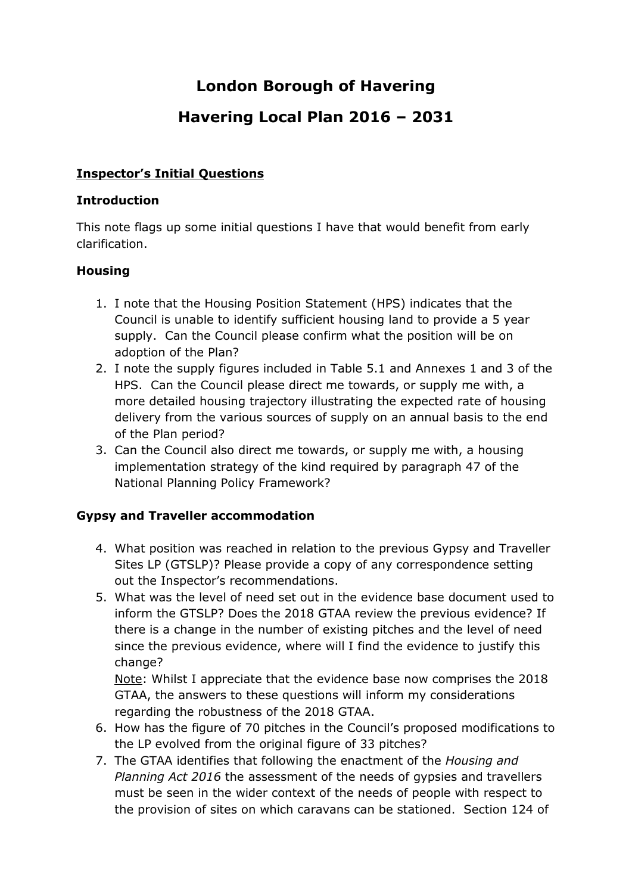# **London Borough of Havering**

# **Havering Local Plan 2016 – 2031**

#### **Inspector's Initial Questions**

#### **Introduction**

This note flags up some initial questions I have that would benefit from early clarification.

## **Housing**

- 1. I note that the Housing Position Statement (HPS) indicates that the Council is unable to identify sufficient housing land to provide a 5 year supply. Can the Council please confirm what the position will be on adoption of the Plan?
- 2. I note the supply figures included in Table 5.1 and Annexes 1 and 3 of the HPS. Can the Council please direct me towards, or supply me with, a more detailed housing trajectory illustrating the expected rate of housing delivery from the various sources of supply on an annual basis to the end of the Plan period?
- 3. Can the Council also direct me towards, or supply me with, a housing implementation strategy of the kind required by paragraph 47 of the National Planning Policy Framework?

#### **Gypsy and Traveller accommodation**

- 4. What position was reached in relation to the previous Gypsy and Traveller Sites LP (GTSLP)? Please provide a copy of any correspondence setting out the Inspector's recommendations.
- 5. What was the level of need set out in the evidence base document used to inform the GTSLP? Does the 2018 GTAA review the previous evidence? If there is a change in the number of existing pitches and the level of need since the previous evidence, where will I find the evidence to justify this change?

Note: Whilst I appreciate that the evidence base now comprises the 2018 GTAA, the answers to these questions will inform my considerations regarding the robustness of the 2018 GTAA.

- 6. How has the figure of 70 pitches in the Council's proposed modifications to the LP evolved from the original figure of 33 pitches?
- 7. The GTAA identifies that following the enactment of the *Housing and Planning Act 2016* the assessment of the needs of gypsies and travellers must be seen in the wider context of the needs of people with respect to the provision of sites on which caravans can be stationed. Section 124 of